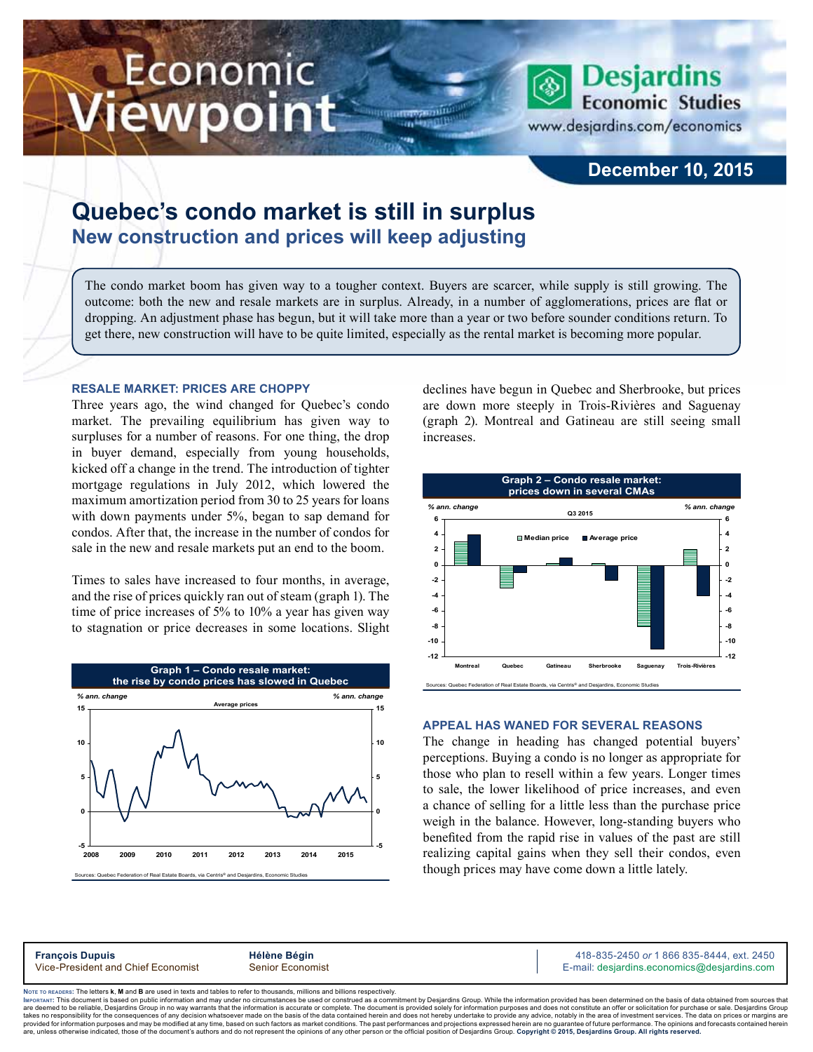# Economic ewpoint

**Desjardins Economic Studies** 

www.desjardins.com/economics

## **December 10, 2015**

## **Quebec's condo market is still in surplus New construction and prices will keep adjusting**

The condo market boom has given way to a tougher context. Buyers are scarcer, while supply is still growing. The outcome: both the new and resale markets are in surplus. Already, in a number of agglomerations, prices are flat or dropping. An adjustment phase has begun, but it will take more than a year or two before sounder conditions return. To get there, new construction will have to be quite limited, especially as the rental market is becoming more popular.

m

#### **Resale market: prices are choppy**

Three years ago, the wind changed for Quebec's condo market. The prevailing equilibrium has given way to surpluses for a number of reasons. For one thing, the drop in buyer demand, especially from young households, kicked off a change in the trend. The introduction of tighter mortgage regulations in July 2012, which lowered the maximum amortization period from 30 to 25 years for loans with down payments under 5%, began to sap demand for condos. After that, the increase in the number of condos for sale in the new and resale markets put an end to the boom.

Times to sales have increased to four months, in average, and the rise of prices quickly ran out of steam (graph 1). The time of price increases of 5% to 10% a year has given way to stagnation or price decreases in some locations. Slight



declines have begun in Quebec and Sherbrooke, but prices are down more steeply in Trois-Rivières and Saguenay (graph 2). Montreal and Gatineau are still seeing small increases.



#### **Appeal has waned for several reasons**

The change in heading has changed potential buyers' perceptions. Buying a condo is no longer as appropriate for those who plan to resell within a few years. Longer times to sale, the lower likelihood of price increases, and even a chance of selling for a little less than the purchase price weigh in the balance. However, long-standing buyers who benefited from the rapid rise in values of the past are still realizing capital gains when they sell their condos, even though prices may have come down a little lately.

**François Dupuis**<br>
Vice-President and Chief Economist **Alternative Bégin** 418-835-2450 or 1 866 835-8444, ext. 2450<br>
Vice-President and Chief Economist Senior Economist **Alternative Community Community Community** E-mail: d E-mail: desjardins.economics@desjardins.com

Noте то келоекs: The letters **k, M** and **B** are used in texts and tables to refer to thousands, millions and billions respectively.<br>Імроктлит: This document is based on public information and may under no circumstances be are deemed to be reliable. Desiardins Group in no way warrants that the information is accurate or complete. The document is provided solely for information purposes and does not constitute an offer or solicitation for pur takes no responsibility for the consequences of any decision whatsoever made on the basis of the data contained herein and does not hereby undertake to provide any advice, notably in the area of investment services. The da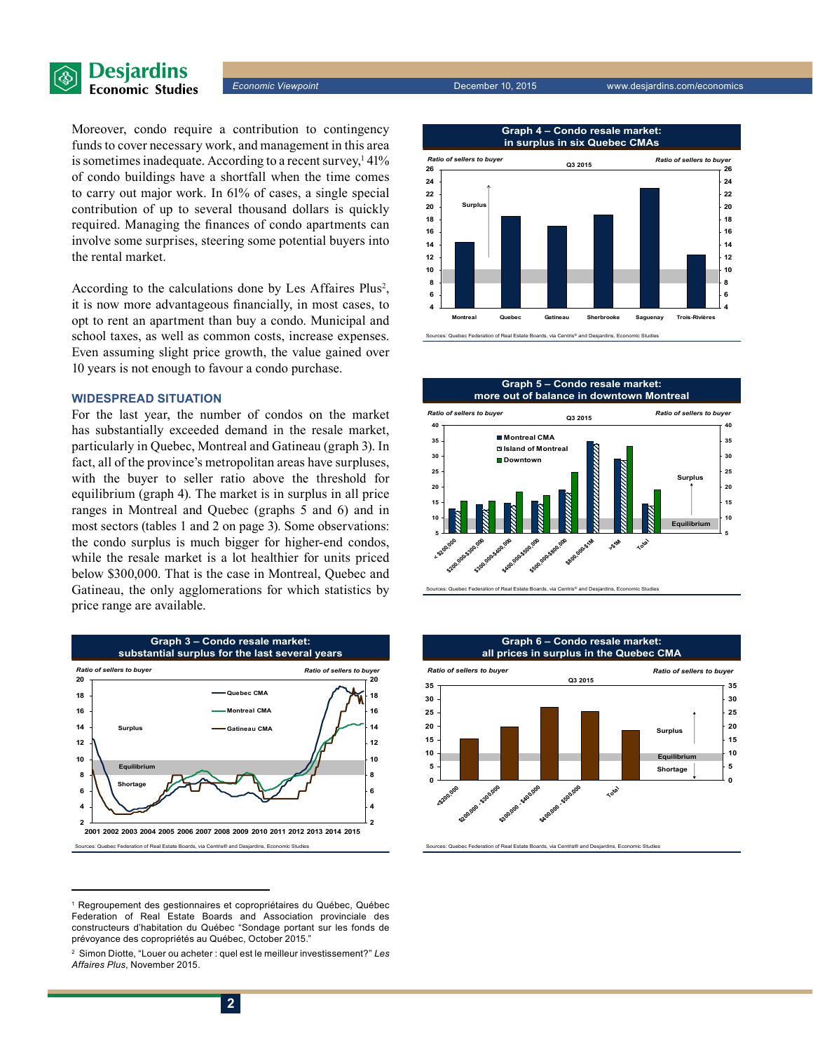

*Economic Viewpoint* December 10, 2015 www.desjardins.com/economics

Moreover, condo require a contribution to contingency funds to cover necessary work, and management in this area is sometimes inadequate. According to a recent survey,<sup>1</sup> 41% of condo buildings have a shortfall when the time comes to carry out major work. In 61% of cases, a single special contribution of up to several thousand dollars is quickly required. Managing the finances of condo apartments can involve some surprises, steering some potential buyers into the rental market.

According to the calculations done by Les Affaires Plus<sup>2</sup>, it is now more advantageous financially, in most cases, to opt to rent an apartment than buy a condo. Municipal and school taxes, as well as common costs, increase expenses. Even assuming slight price growth, the value gained over 10 years is not enough to favour a condo purchase.

#### **Widespread situation**

For the last year, the number of condos on the market has substantially exceeded demand in the resale market, particularly in Quebec, Montreal and Gatineau (graph 3). In fact, all of the province's metropolitan areas have surpluses, with the buyer to seller ratio above the threshold for equilibrium (graph 4). The market is in surplus in all price ranges in Montreal and Quebec (graphs 5 and 6) and in most sectors (tables 1 and 2 on page 3). Some observations: the condo surplus is much bigger for higher-end condos, while the resale market is a lot healthier for units priced below \$300,000. That is the case in Montreal, Quebec and Gatineau, the only agglomerations for which statistics by price range are available.



<sup>1</sup> Regroupement des gestionnaires et copropriétaires du Québec, Québec Federation of Real Estate Boards and Association provinciale des constructeurs d'habitation du Québec "Sondage portant sur les fonds de prévoyance des copropriétés au Québec, October 2015."



**Graph 4 – Condo resale market:**

of Real Estate Boards, via Centris<sup>®</sup> and Des







ec Federation of Real Estate Boards, via Centris® and Desjardins, Economic Studie

<sup>2</sup> Simon Diotte, "Louer ou acheter : quel est le meilleur investissement?" *Les Affaires Plus*, November 2015.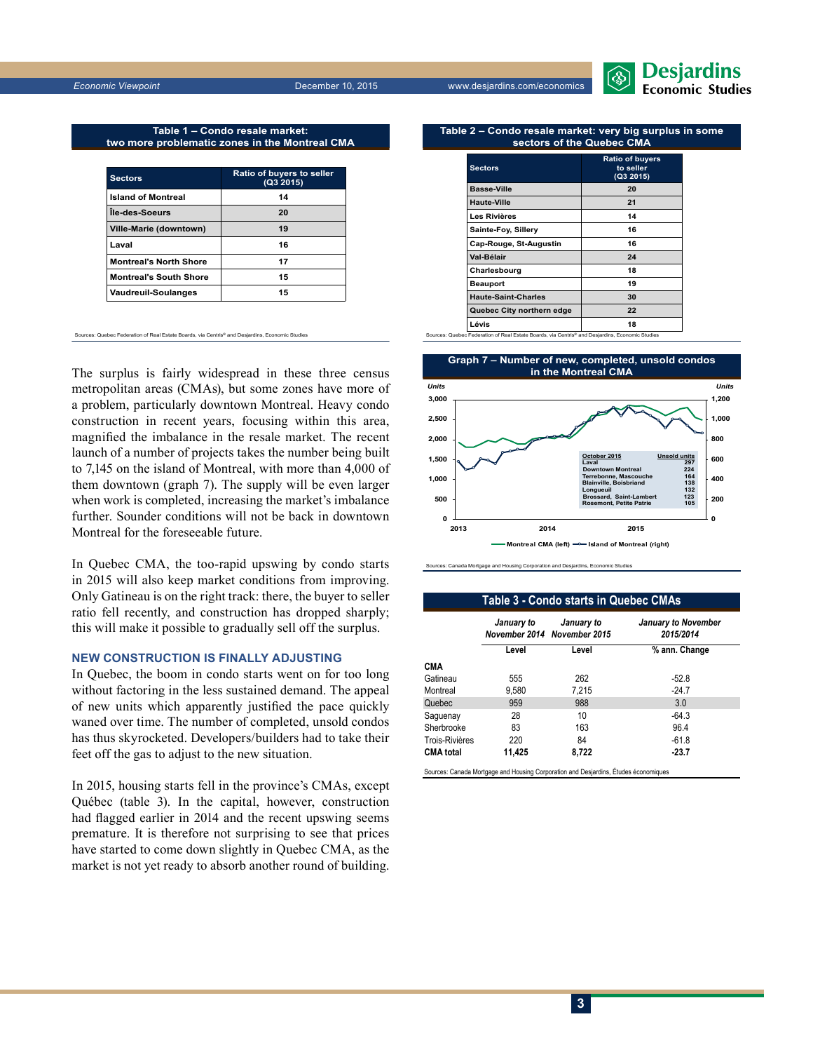

**Table 1 – Condo resale market: two more problematic zones in the Montreal CMA**

| <b>Sectors</b>                | <b>Ratio of buyers to seller</b><br>(Q3 2015) |
|-------------------------------|-----------------------------------------------|
| <b>Island of Montreal</b>     | 14                                            |
| Île-des-Soeurs                | 20                                            |
| Ville-Marie (downtown)        | 19                                            |
| Laval                         | 16                                            |
| <b>Montreal's North Shore</b> | 17                                            |
| <b>Montreal's South Shore</b> | 15                                            |
| <b>Vaudreuil-Soulanges</b>    | 15                                            |

Sources: Quebec Federation of Real Estate Boards, via Centris® and Desjardins, Economic Studies

The surplus is fairly widespread in these three census metropolitan areas (CMAs), but some zones have more of a problem, particularly downtown Montreal. Heavy condo construction in recent years, focusing within this area, magnified the imbalance in the resale market. The recent launch of a number of projects takes the number being built to 7,145 on the island of Montreal, with more than 4,000 of them downtown (graph 7). The supply will be even larger when work is completed, increasing the market's imbalance further. Sounder conditions will not be back in downtown Montreal for the foreseeable future.

In Quebec CMA, the too-rapid upswing by condo starts in 2015 will also keep market conditions from improving. Only Gatineau is on the right track: there, the buyer to seller ratio fell recently, and construction has dropped sharply; this will make it possible to gradually sell off the surplus.

#### **New construction is finally adjusting**

In Quebec, the boom in condo starts went on for too long without factoring in the less sustained demand. The appeal of new units which apparently justified the pace quickly waned over time. The number of completed, unsold condos has thus skyrocketed. Developers/builders had to take their feet off the gas to adjust to the new situation.

In 2015, housing starts fell in the province's CMAs, except Québec (table 3). In the capital, however, construction had flagged earlier in 2014 and the recent upswing seems premature. It is therefore not surprising to see that prices have started to come down slightly in Quebec CMA, as the market is not yet ready to absorb another round of building.

#### **Table 2 – Condo resale market: very big surplus in some sectors of the Quebec CMA**

| <b>Sectors</b>                                                                                  | <b>Ratio of buyers</b><br>to seller<br>(Q3 2015) |
|-------------------------------------------------------------------------------------------------|--------------------------------------------------|
| <b>Basse-Ville</b>                                                                              | 20                                               |
| Haute-Ville                                                                                     | 21                                               |
| Les Rivières                                                                                    | 14                                               |
| Sainte-Foy, Sillery                                                                             | 16                                               |
| Cap-Rouge, St-Augustin                                                                          | 16                                               |
| Val-Bélair                                                                                      | 24                                               |
| Charlesbourg                                                                                    | 18                                               |
| <b>Beauport</b>                                                                                 | 19                                               |
| <b>Haute-Saint-Charles</b>                                                                      | 30                                               |
| Quebec City northern edge                                                                       | 22                                               |
| Lévis                                                                                           | 18                                               |
| Sources: Quebec Federation of Real Estate Boards, via Centris® and Desjardins, Economic Studies |                                                  |



es: Canada Mortgage and Housing Corporation and De

#### **Table 3 - Condo starts in Quebec CMAs**

|                  | January to | January to<br>November 2014 November 2015 | <b>January to November</b><br>2015/2014 |
|------------------|------------|-------------------------------------------|-----------------------------------------|
|                  | Level      | Level                                     | % ann. Change                           |
| <b>CMA</b>       |            |                                           |                                         |
| Gatineau         | 555        | 262                                       | $-52.8$                                 |
| Montreal         | 9,580      | 7.215                                     | $-24.7$                                 |
| Quebec           | 959        | 988                                       | 3.0                                     |
| Saquenay         | 28         | 10                                        | $-64.3$                                 |
| Sherbrooke       | 83         | 163                                       | 96.4                                    |
| Trois-Rivières   | 220        | 84                                        | $-61.8$                                 |
| <b>CMA</b> total | 11,425     | 8,722                                     | $-23.7$                                 |

**3**